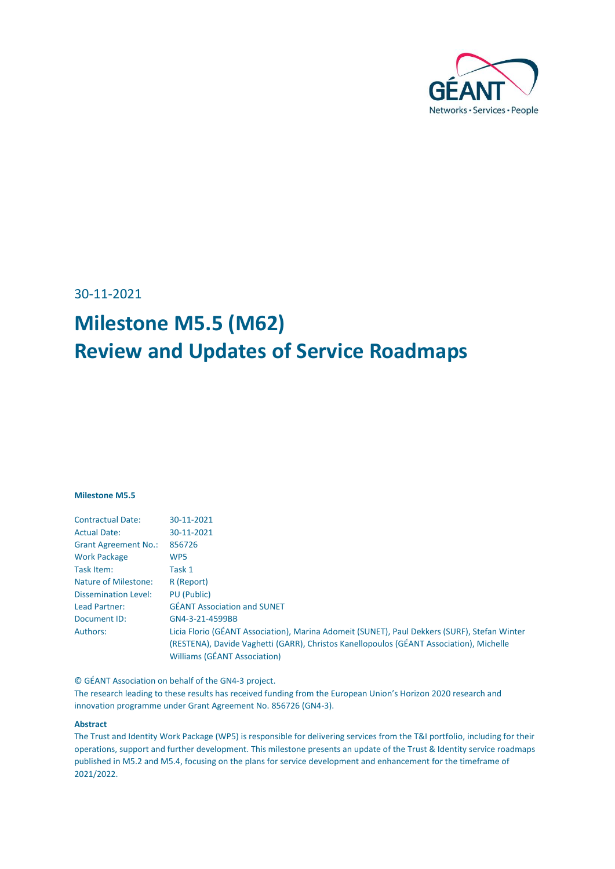

30-11-2021

# **Milestone M5.5 (M62) Review and Updates of Service Roadmaps**

#### **Milestone M5.5**

| <b>Contractual Date:</b>    | 30-11-2021                                                                                   |
|-----------------------------|----------------------------------------------------------------------------------------------|
| <b>Actual Date:</b>         | 30-11-2021                                                                                   |
| <b>Grant Agreement No.:</b> | 856726                                                                                       |
| <b>Work Package</b>         | WP <sub>5</sub>                                                                              |
| Task Item:                  | Task 1                                                                                       |
| Nature of Milestone:        | R (Report)                                                                                   |
| <b>Dissemination Level:</b> | PU (Public)                                                                                  |
| Lead Partner:               | <b>GÉANT Association and SUNET</b>                                                           |
| Document ID:                | GN4-3-21-4599BB                                                                              |
| Authors:                    | Licia Florio (GÉANT Association), Marina Adomeit (SUNET), Paul Dekkers (SURF), Stefan Winter |
|                             | (RESTENA), Davide Vaghetti (GARR), Christos Kanellopoulos (GÉANT Association), Michelle      |
|                             | <b>Williams (GÉANT Association)</b>                                                          |

© GÉANT Association on behalf of the GN4-3 project.

The research leading to these results has received funding from the European Union's Horizon 2020 research and innovation programme under Grant Agreement No. 856726 (GN4-3).

#### **Abstract**

The Trust and Identity Work Package (WP5) is responsible for delivering services from the T&I portfolio, including for their operations, support and further development. This milestone presents an update of the Trust & Identity service roadmaps published in M5.2 and M5.4, focusing on the plans for service development and enhancement for the timeframe of 2021/2022.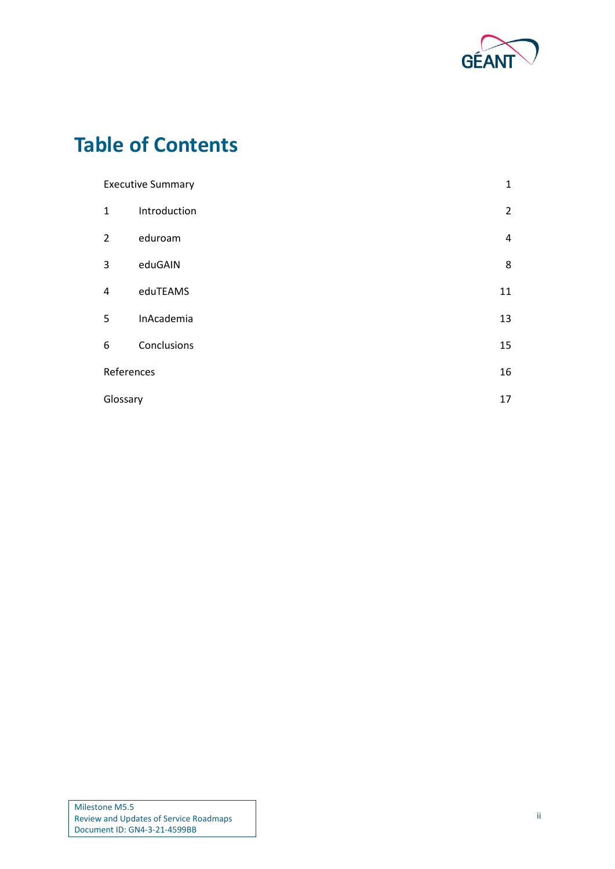

# **Table of Contents**

| $\mathbf{1}$<br><b>Executive Summary</b> |              |                |
|------------------------------------------|--------------|----------------|
| $\mathbf{1}$                             | Introduction | $\overline{2}$ |
| $\overline{2}$                           | eduroam      | $\overline{4}$ |
| 3                                        | eduGAIN      | 8              |
| 4                                        | eduTEAMS     | 11             |
| 5                                        | InAcademia   | 13             |
| 6                                        | Conclusions  | 15             |
| References                               |              | 16             |
| Glossary                                 |              | 17             |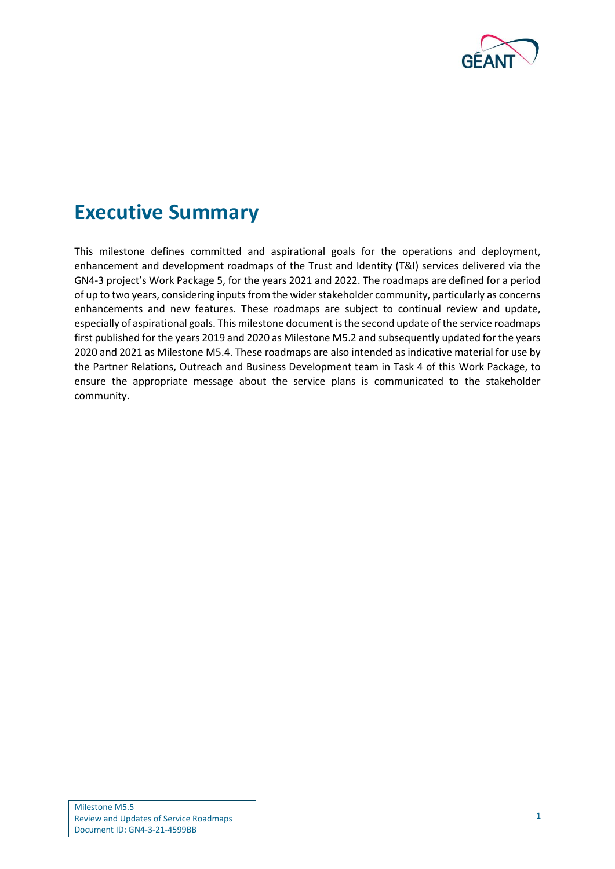

## <span id="page-2-0"></span>**Executive Summary**

This milestone defines committed and aspirational goals for the operations and deployment, enhancement and development roadmaps of the Trust and Identity (T&I) services delivered via the GN4-3 project's Work Package 5, for the years 2021 and 2022. The roadmaps are defined for a period of up to two years, considering inputs from the wider stakeholder community, particularly as concerns enhancements and new features. These roadmaps are subject to continual review and update, especially of aspirational goals. This milestone document is the second update of the service roadmaps first published for the years 2019 and 2020 as Milestone M5.2 and subsequently updated for the years 2020 and 2021 as Milestone M5.4. These roadmaps are also intended as indicative material for use by the Partner Relations, Outreach and Business Development team in Task 4 of this Work Package, to ensure the appropriate message about the service plans is communicated to the stakeholder community.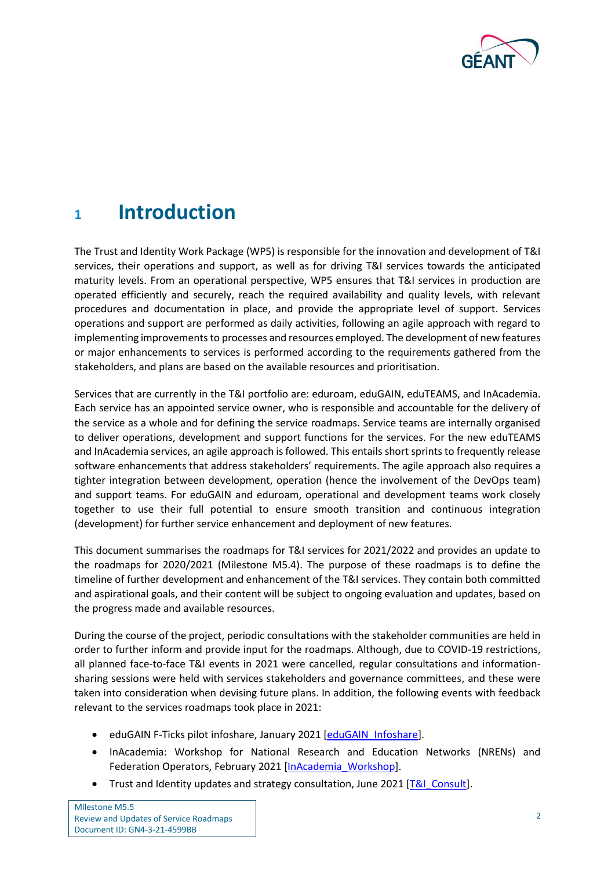

## <span id="page-3-0"></span>**<sup>1</sup> Introduction**

The Trust and Identity Work Package (WP5) is responsible for the innovation and development of T&I services, their operations and support, as well as for driving T&I services towards the anticipated maturity levels. From an operational perspective, WP5 ensures that T&I services in production are operated efficiently and securely, reach the required availability and quality levels, with relevant procedures and documentation in place, and provide the appropriate level of support. Services operations and support are performed as daily activities, following an agile approach with regard to implementing improvements to processes and resources employed. The development of new features or major enhancements to services is performed according to the requirements gathered from the stakeholders, and plans are based on the available resources and prioritisation.

Services that are currently in the T&I portfolio are: eduroam, eduGAIN, eduTEAMS, and InAcademia. Each service has an appointed service owner, who is responsible and accountable for the delivery of the service as a whole and for defining the service roadmaps. Service teams are internally organised to deliver operations, development and support functions for the services. For the new eduTEAMS and InAcademia services, an agile approach is followed. This entails short sprints to frequently release software enhancements that address stakeholders' requirements. The agile approach also requires a tighter integration between development, operation (hence the involvement of the DevOps team) and support teams. For eduGAIN and eduroam, operational and development teams work closely together to use their full potential to ensure smooth transition and continuous integration (development) for further service enhancement and deployment of new features.

This document summarises the roadmaps for T&I services for 2021/2022 and provides an update to the roadmaps for 2020/2021 (Milestone M5.4). The purpose of these roadmaps is to define the timeline of further development and enhancement of the T&I services. They contain both committed and aspirational goals, and their content will be subject to ongoing evaluation and updates, based on the progress made and available resources.

During the course of the project, periodic consultations with the stakeholder communities are held in order to further inform and provide input for the roadmaps. Although, due to COVID-19 restrictions, all planned face-to-face T&I events in 2021 were cancelled, regular consultations and informationsharing sessions were held with services stakeholders and governance committees, and these were taken into consideration when devising future plans. In addition, the following events with feedback relevant to the services roadmaps took place in 2021:

- eduGAIN F-Ticks pilot infoshare, January 2021 [\[eduGAIN\\_Infoshare\]](#page-17-1).
- InAcademia: Workshop for National Research and Education Networks (NRENs) and Federation Operators, February 2021 [\[InAcademia\\_Workshop\]](#page-17-2).
- Trust and Identity updates and strategy consultation, June 2021 [\[T&I\\_Consult\]](#page-17-3).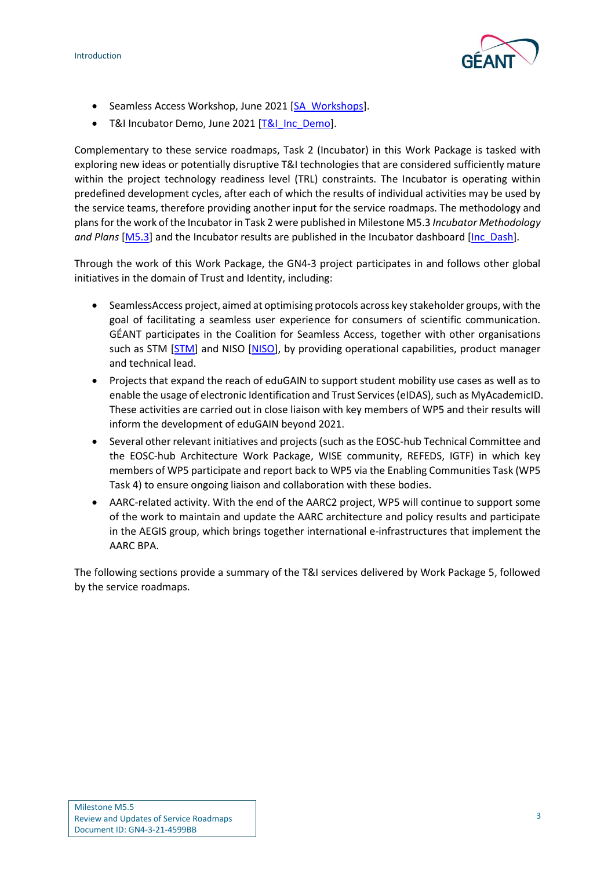

- Seamless Access Workshop, June 2021 [\[SA\\_Workshops\]](#page-17-4).
- T&I Incubator Demo, June 2021 [\[T&I\\_Inc\\_Demo\]](#page-17-5).

Complementary to these service roadmaps, Task 2 (Incubator) in this Work Package is tasked with exploring new ideas or potentially disruptive T&I technologies that are considered sufficiently mature within the project technology readiness level (TRL) constraints. The Incubator is operating within predefined development cycles, after each of which the results of individual activities may be used by the service teams, therefore providing another input for the service roadmaps. The methodology and plans for the work of the Incubator in Task 2 were published in Milestone M5.3 *Incubator Methodology and Plans* [\[M5.3\]](#page-17-6) and the Incubator results are published in the Incubator dashboard [\[Inc\\_Dash\]](#page-17-7).

Through the work of this Work Package, the GN4-3 project participates in and follows other global initiatives in the domain of Trust and Identity, including:

- SeamlessAccess project, aimed at optimising protocols across key stakeholder groups, with the goal of facilitating a seamless user experience for consumers of scientific communication. GÉANT participates in the Coalition for Seamless Access, together with other organisations such as STM [\[STM\]](#page-17-8) and NISO [\[NISO\]](#page-17-9), by providing operational capabilities, product manager and technical lead.
- Projects that expand the reach of eduGAIN to support student mobility use cases as well as to enable the usage of electronic Identification and Trust Services(eIDAS), such as MyAcademicID. These activities are carried out in close liaison with key members of WP5 and their results will inform the development of eduGAIN beyond 2021.
- Several other relevant initiatives and projects (such as the EOSC-hub Technical Committee and the EOSC-hub Architecture Work Package, WISE community, REFEDS, IGTF) in which key members of WP5 participate and report back to WP5 via the Enabling Communities Task (WP5 Task 4) to ensure ongoing liaison and collaboration with these bodies.
- AARC-related activity. With the end of the AARC2 project, WP5 will continue to support some of the work to maintain and update the AARC architecture and policy results and participate in the AEGIS group, which brings together international e-infrastructures that implement the AARC BPA.

The following sections provide a summary of the T&I services delivered by Work Package 5, followed by the service roadmaps.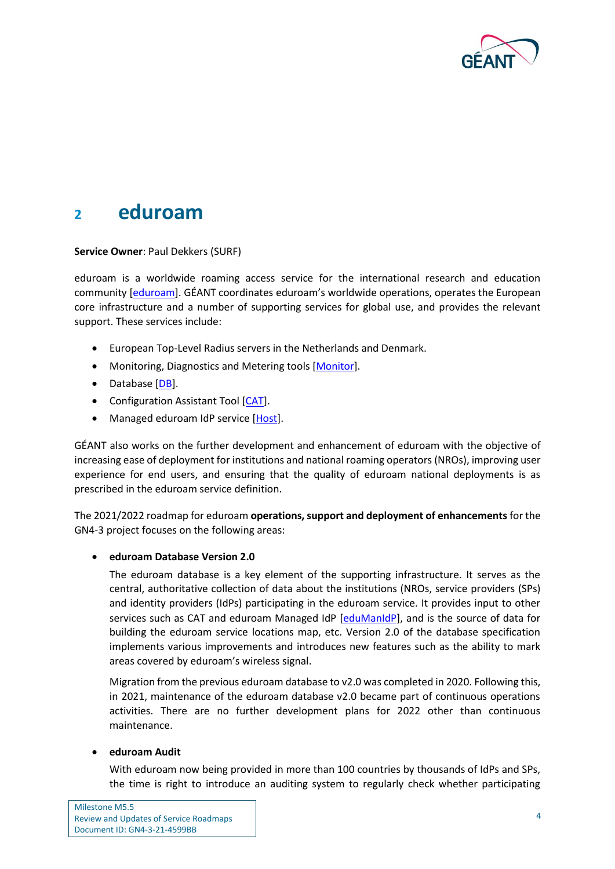

### <span id="page-5-0"></span>**<sup>2</sup> eduroam**

#### **Service Owner**: Paul Dekkers (SURF)

eduroam is a worldwide roaming access service for the international research and education community [\[eduroam\]](#page-17-10). GÉANT coordinates eduroam's worldwide operations, operates the European core infrastructure and a number of supporting services for global use, and provides the relevant support. These services include:

- European Top-Level Radius servers in the Netherlands and Denmark.
- Monitoring, Diagnostics and Metering tools [\[Monitor\]](#page-17-11).
- Database [\[DB\]](#page-17-12).
- Configuration Assistant Tool [\[CAT\]](#page-17-13).
- Managed eduroam IdP service [\[Host\]](#page-17-14).

GÉANT also works on the further development and enhancement of eduroam with the objective of increasing ease of deployment for institutions and national roaming operators (NROs), improving user experience for end users, and ensuring that the quality of eduroam national deployments is as prescribed in the eduroam service definition.

The 2021/2022 roadmap for eduroam **operations, support and deployment of enhancements** for the GN4-3 project focuses on the following areas:

#### • **eduroam Database Version 2.0**

The eduroam database is a key element of the supporting infrastructure. It serves as the central, authoritative collection of data about the institutions (NROs, service providers (SPs) and identity providers (IdPs) participating in the eduroam service. It provides input to other services such as CAT and eduroam Managed IdP [\[eduManIdP\]](#page-17-15), and is the source of data for building the eduroam service locations map, etc. Version 2.0 of the database specification implements various improvements and introduces new features such as the ability to mark areas covered by eduroam's wireless signal.

Migration from the previous eduroam database to v2.0 was completed in 2020. Following this, in 2021, maintenance of the eduroam database v2.0 became part of continuous operations activities. There are no further development plans for 2022 other than continuous maintenance.

#### • **eduroam Audit**

With eduroam now being provided in more than 100 countries by thousands of IdPs and SPs, the time is right to introduce an auditing system to regularly check whether participating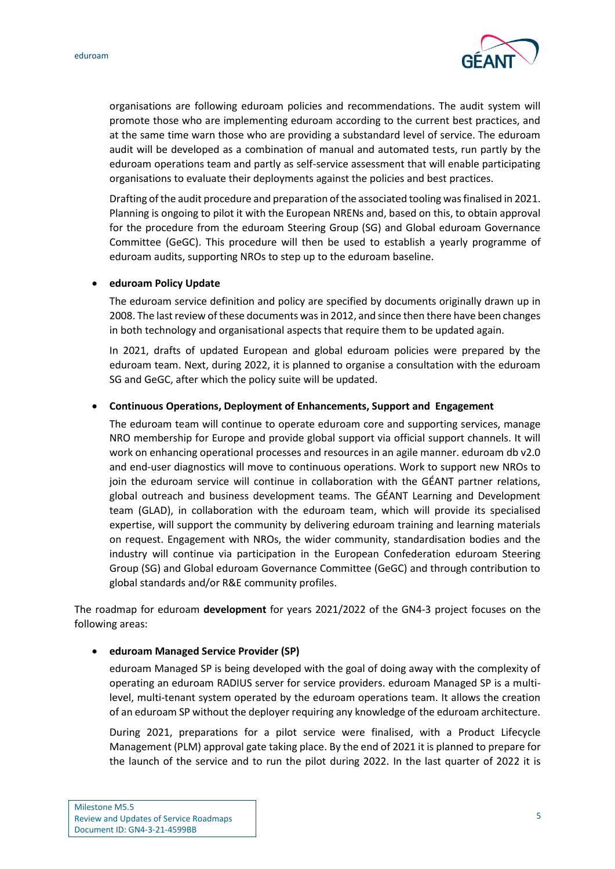

organisations are following eduroam policies and recommendations. The audit system will promote those who are implementing eduroam according to the current best practices, and at the same time warn those who are providing a substandard level of service. The eduroam audit will be developed as a combination of manual and automated tests, run partly by the eduroam operations team and partly as self-service assessment that will enable participating organisations to evaluate their deployments against the policies and best practices.

Drafting of the audit procedure and preparation of the associated tooling was finalised in 2021. Planning is ongoing to pilot it with the European NRENs and, based on this, to obtain approval for the procedure from the eduroam Steering Group (SG) and Global eduroam Governance Committee (GeGC). This procedure will then be used to establish a yearly programme of eduroam audits, supporting NROs to step up to the eduroam baseline.

#### • **eduroam Policy Update**

The eduroam service definition and policy are specified by documents originally drawn up in 2008. The last review of these documents was in 2012, and since then there have been changes in both technology and organisational aspects that require them to be updated again.

In 2021, drafts of updated European and global eduroam policies were prepared by the eduroam team. Next, during 2022, it is planned to organise a consultation with the eduroam SG and GeGC, after which the policy suite will be updated.

#### • **Continuous Operations, Deployment of Enhancements, Support and Engagement**

The eduroam team will continue to operate eduroam core and supporting services, manage NRO membership for Europe and provide global support via official support channels. It will work on enhancing operational processes and resources in an agile manner. eduroam db v2.0 and end-user diagnostics will move to continuous operations. Work to support new NROs to join the eduroam service will continue in collaboration with the GÉANT partner relations, global outreach and business development teams. The GÉANT Learning and Development team (GLAD), in collaboration with the eduroam team, which will provide its specialised expertise, will support the community by delivering eduroam training and learning materials on request. Engagement with NROs, the wider community, standardisation bodies and the industry will continue via participation in the European Confederation eduroam Steering Group (SG) and Global eduroam Governance Committee (GeGC) and through contribution to global standards and/or R&E community profiles.

The roadmap for eduroam **development** for years 2021/2022 of the GN4-3 project focuses on the following areas:

#### • **eduroam Managed Service Provider (SP)**

eduroam Managed SP is being developed with the goal of doing away with the complexity of operating an eduroam RADIUS server for service providers. eduroam Managed SP is a multilevel, multi-tenant system operated by the eduroam operations team. It allows the creation of an eduroam SP without the deployer requiring any knowledge of the eduroam architecture.

During 2021, preparations for a pilot service were finalised, with a Product Lifecycle Management (PLM) approval gate taking place. By the end of 2021 it is planned to prepare for the launch of the service and to run the pilot during 2022. In the last quarter of 2022 it is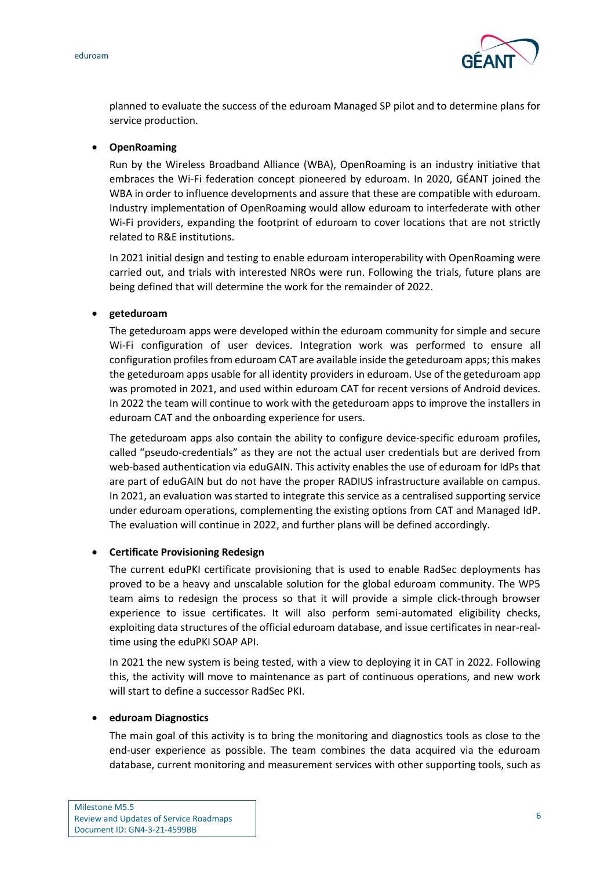eduroam



planned to evaluate the success of the eduroam Managed SP pilot and to determine plans for service production.

#### • **OpenRoaming**

Run by the Wireless Broadband Alliance (WBA), OpenRoaming is an industry initiative that embraces the Wi-Fi federation concept pioneered by eduroam. In 2020, GÉANT joined the WBA in order to influence developments and assure that these are compatible with eduroam. Industry implementation of OpenRoaming would allow eduroam to interfederate with other Wi-Fi providers, expanding the footprint of eduroam to cover locations that are not strictly related to R&E institutions.

In 2021 initial design and testing to enable eduroam interoperability with OpenRoaming were carried out, and trials with interested NROs were run. Following the trials, future plans are being defined that will determine the work for the remainder of 2022.

#### • **geteduroam**

The geteduroam apps were developed within the eduroam community for simple and secure Wi-Fi configuration of user devices. Integration work was performed to ensure all configuration profiles from eduroam CAT are available inside the geteduroam apps; this makes the geteduroam apps usable for all identity providers in eduroam. Use of the geteduroam app was promoted in 2021, and used within eduroam CAT for recent versions of Android devices. In 2022 the team will continue to work with the geteduroam apps to improve the installers in eduroam CAT and the onboarding experience for users.

The geteduroam apps also contain the ability to configure device-specific eduroam profiles, called "pseudo-credentials" as they are not the actual user credentials but are derived from web-based authentication via eduGAIN. This activity enables the use of eduroam for IdPs that are part of eduGAIN but do not have the proper RADIUS infrastructure available on campus. In 2021, an evaluation was started to integrate this service as a centralised supporting service under eduroam operations, complementing the existing options from CAT and Managed IdP. The evaluation will continue in 2022, and further plans will be defined accordingly.

#### • **Certificate Provisioning Redesign**

The current eduPKI certificate provisioning that is used to enable RadSec deployments has proved to be a heavy and unscalable solution for the global eduroam community. The WP5 team aims to redesign the process so that it will provide a simple click-through browser experience to issue certificates. It will also perform semi-automated eligibility checks, exploiting data structures of the official eduroam database, and issue certificates in near-realtime using the eduPKI SOAP API.

In 2021 the new system is being tested, with a view to deploying it in CAT in 2022. Following this, the activity will move to maintenance as part of continuous operations, and new work will start to define a successor RadSec PKI.

#### • **eduroam Diagnostics**

The main goal of this activity is to bring the monitoring and diagnostics tools as close to the end-user experience as possible. The team combines the data acquired via the eduroam database, current monitoring and measurement services with other supporting tools, such as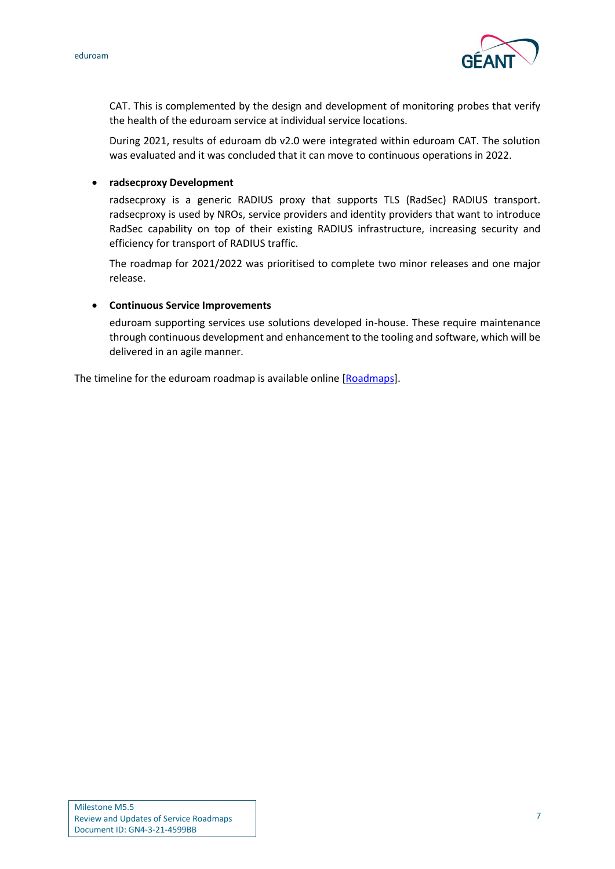



CAT. This is complemented by the design and development of monitoring probes that verify the health of the eduroam service at individual service locations.

During 2021, results of eduroam db v2.0 were integrated within eduroam CAT. The solution was evaluated and it was concluded that it can move to continuous operations in 2022.

• **radsecproxy Development**

radsecproxy is a generic RADIUS proxy that supports TLS (RadSec) RADIUS transport. radsecproxy is used by NROs, service providers and identity providers that want to introduce RadSec capability on top of their existing RADIUS infrastructure, increasing security and efficiency for transport of RADIUS traffic.

The roadmap for 2021/2022 was prioritised to complete two minor releases and one major release.

#### • **Continuous Service Improvements**

eduroam supporting services use solutions developed in-house. These require maintenance through continuous development and enhancement to the tooling and software, which will be delivered in an agile manner.

The timeline for the eduroam roadmap is available online [\[Roadmaps\]](#page-17-16).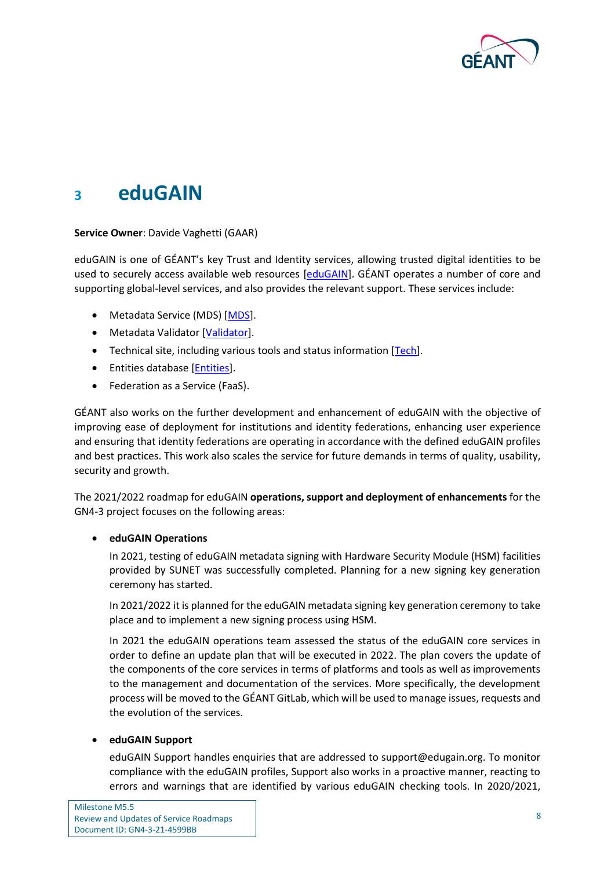

### <span id="page-9-0"></span>**<sup>3</sup> eduGAIN**

#### **Service Owner**: Davide Vaghetti (GAAR)

eduGAIN is one of GÉANT's key Trust and Identity services, allowing trusted digital identities to be used to securely access available web resources [\[eduGAIN\]](#page-17-17). GÉANT operates a number of core and supporting global-level services, and also provides the relevant support. These services include:

- Metadata Service (MDS) [\[MDS\]](#page-17-18).
- Metadata Validator [\[Validator\]](#page-17-19).
- Technical site, including various tools and status information [\[Tech\]](#page-17-20).
- Entities database [\[Entities\]](#page-17-21).
- Federation as a Service (FaaS).

GÉANT also works on the further development and enhancement of eduGAIN with the objective of improving ease of deployment for institutions and identity federations, enhancing user experience and ensuring that identity federations are operating in accordance with the defined eduGAIN profiles and best practices. This work also scales the service for future demands in terms of quality, usability, security and growth.

The 2021/2022 roadmap for eduGAIN **operations, support and deployment of enhancements** for the GN4-3 project focuses on the following areas:

#### • **eduGAIN Operations**

In 2021, testing of eduGAIN metadata signing with Hardware Security Module (HSM) facilities provided by SUNET was successfully completed. Planning for a new signing key generation ceremony has started.

In 2021/2022 it is planned for the eduGAIN metadata signing key generation ceremony to take place and to implement a new signing process using HSM.

In 2021 the eduGAIN operations team assessed the status of the eduGAIN core services in order to define an update plan that will be executed in 2022. The plan covers the update of the components of the core services in terms of platforms and tools as well as improvements to the management and documentation of the services. More specifically, the development process will be moved to the GÉANT GitLab, which will be used to manage issues, requests and the evolution of the services.

#### • **eduGAIN Support**

eduGAIN Support handles enquiries that are addressed to support@edugain.org. To monitor compliance with the eduGAIN profiles, Support also works in a proactive manner, reacting to errors and warnings that are identified by various eduGAIN checking tools. In 2020/2021,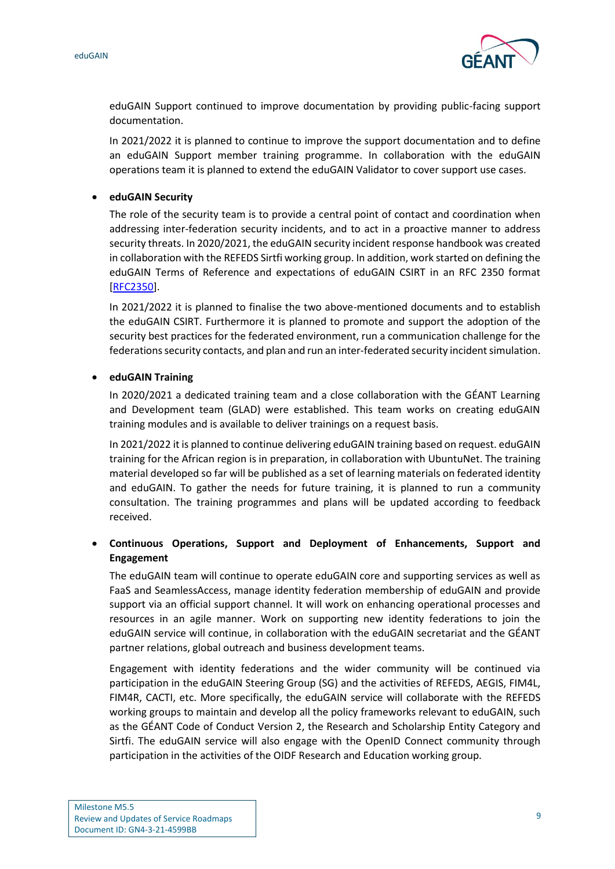



eduGAIN Support continued to improve documentation by providing public-facing support documentation.

In 2021/2022 it is planned to continue to improve the support documentation and to define an eduGAIN Support member training programme. In collaboration with the eduGAIN operations team it is planned to extend the eduGAIN Validator to cover support use cases.

#### • **eduGAIN Security**

The role of the security team is to provide a central point of contact and coordination when addressing inter-federation security incidents, and to act in a proactive manner to address security threats. In 2020/2021, the eduGAIN security incident response handbook was created in collaboration with the REFEDS Sirtfi working group. In addition, work started on defining the eduGAIN Terms of Reference and expectations of eduGAIN CSIRT in an RFC 2350 format [\[RFC2350\]](#page-17-22).

In 2021/2022 it is planned to finalise the two above-mentioned documents and to establish the eduGAIN CSIRT. Furthermore it is planned to promote and support the adoption of the security best practices for the federated environment, run a communication challenge for the federations security contacts, and plan and run an inter-federated security incident simulation.

#### • **eduGAIN Training**

In 2020/2021 a dedicated training team and a close collaboration with the GÉANT Learning and Development team (GLAD) were established. This team works on creating eduGAIN training modules and is available to deliver trainings on a request basis.

In 2021/2022 it is planned to continue delivering eduGAIN training based on request. eduGAIN training for the African region is in preparation, in collaboration with UbuntuNet. The training material developed so far will be published as a set of learning materials on federated identity and eduGAIN. To gather the needs for future training, it is planned to run a community consultation. The training programmes and plans will be updated according to feedback received.

#### • **Continuous Operations, Support and Deployment of Enhancements, Support and Engagement**

The eduGAIN team will continue to operate eduGAIN core and supporting services as well as FaaS and SeamlessAccess, manage identity federation membership of eduGAIN and provide support via an official support channel. It will work on enhancing operational processes and resources in an agile manner. Work on supporting new identity federations to join the eduGAIN service will continue, in collaboration with the eduGAIN secretariat and the GÉANT partner relations, global outreach and business development teams.

Engagement with identity federations and the wider community will be continued via participation in the eduGAIN Steering Group (SG) and the activities of REFEDS, AEGIS, FIM4L, FIM4R, CACTI, etc. More specifically, the eduGAIN service will collaborate with the REFEDS working groups to maintain and develop all the policy frameworks relevant to eduGAIN, such as the GÉANT Code of Conduct Version 2, the Research and Scholarship Entity Category and Sirtfi. The eduGAIN service will also engage with the OpenID Connect community through participation in the activities of the OIDF Research and Education working group.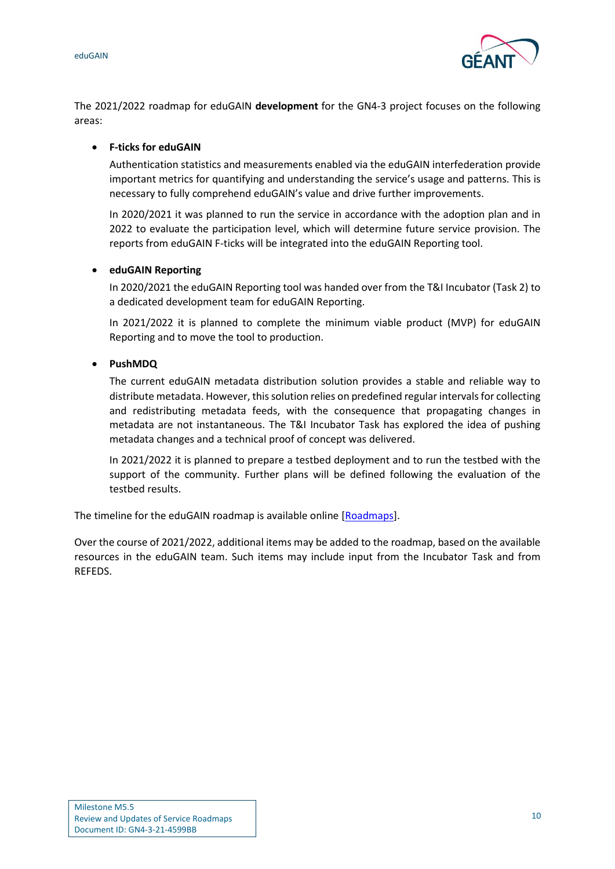

The 2021/2022 roadmap for eduGAIN **development** for the GN4-3 project focuses on the following areas:

#### • **F-ticks for eduGAIN**

Authentication statistics and measurements enabled via the eduGAIN interfederation provide important metrics for quantifying and understanding the service's usage and patterns. This is necessary to fully comprehend eduGAIN's value and drive further improvements.

In 2020/2021 it was planned to run the service in accordance with the adoption plan and in 2022 to evaluate the participation level, which will determine future service provision. The reports from eduGAIN F-ticks will be integrated into the eduGAIN Reporting tool.

#### • **eduGAIN Reporting**

In 2020/2021 the eduGAIN Reporting tool was handed over from the T&I Incubator (Task 2) to a dedicated development team for eduGAIN Reporting.

In 2021/2022 it is planned to complete the minimum viable product (MVP) for eduGAIN Reporting and to move the tool to production.

#### • **PushMDQ**

The current eduGAIN metadata distribution solution provides a stable and reliable way to distribute metadata. However, this solution relies on predefined regular intervals for collecting and redistributing metadata feeds, with the consequence that propagating changes in metadata are not instantaneous. The T&I Incubator Task has explored the idea of pushing metadata changes and a technical proof of concept was delivered.

In 2021/2022 it is planned to prepare a testbed deployment and to run the testbed with the support of the community. Further plans will be defined following the evaluation of the testbed results.

The timeline for the eduGAIN roadmap is available online [\[Roadmaps\]](#page-17-16).

Over the course of 2021/2022, additional items may be added to the roadmap, based on the available resources in the eduGAIN team. Such items may include input from the Incubator Task and from REFEDS.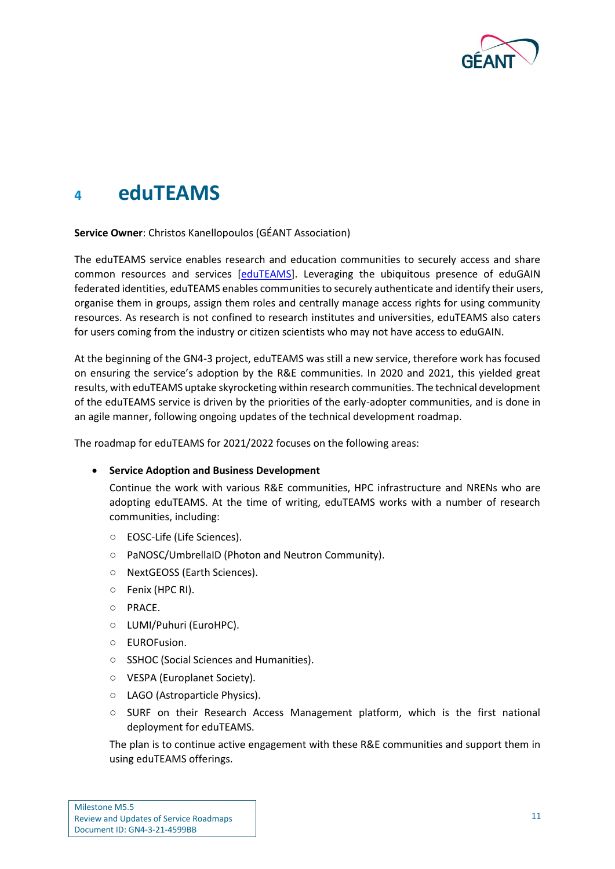

## <span id="page-12-0"></span>**<sup>4</sup> eduTEAMS**

**Service Owner**: Christos Kanellopoulos (GÉANT Association)

The eduTEAMS service enables research and education communities to securely access and share common resources and services [\[eduTEAMS\]](#page-17-23). Leveraging the ubiquitous presence of eduGAIN federated identities, eduTEAMS enables communities to securely authenticate and identify their users, organise them in groups, assign them roles and centrally manage access rights for using community resources. As research is not confined to research institutes and universities, eduTEAMS also caters for users coming from the industry or citizen scientists who may not have access to eduGAIN.

At the beginning of the GN4-3 project, eduTEAMS was still a new service, therefore work has focused on ensuring the service's adoption by the R&Е communities. In 2020 and 2021, this yielded great results, with eduTEAMS uptake skyrocketing within research communities. The technical development of the eduTEAMS service is driven by the priorities of the early-adopter communities, and is done in an agile manner, following ongoing updates of the technical development roadmap.

The roadmap for eduTEAMS for 2021/2022 focuses on the following areas:

#### • **Service Adoption and Business Development**

Continue the work with various R&E communities, HPC infrastructure and NRENs who are adopting eduTEAMS. At the time of writing, eduTEAMS works with a number of research communities, including:

- EOSC-Life (Life Sciences).
- PaNOSC/UmbrellaID (Photon and Neutron Community).
- NextGEOSS (Earth Sciences).
- Fenix (HPC RI).
- PRACE.
- LUMI/Puhuri (EuroHPC).
- EUROFusion.
- SSHOC (Social Sciences and Humanities).
- VESPA (Europlanet Society).
- LAGO (Astroparticle Physics).
- SURF on their Research Access Management platform, which is the first national deployment for eduTEAMS.

The plan is to continue active engagement with these R&E communities and support them in using eduTEAMS offerings.

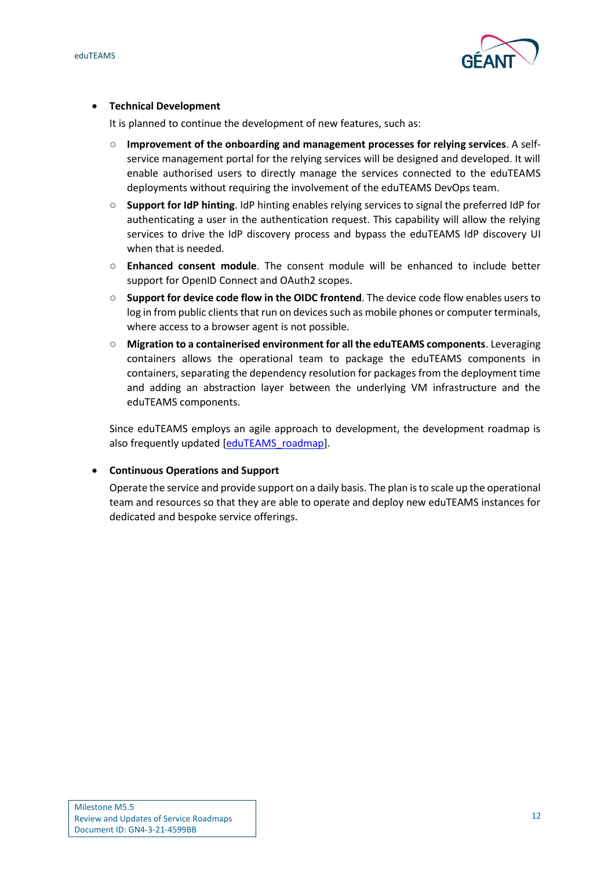



#### • **Technical Development**

It is planned to continue the development of new features, such as:

- **Improvement of the onboarding and management processes for relying services**. A selfservice management portal for the relying services will be designed and developed. It will enable authorised users to directly manage the services connected to the eduTEAMS deployments without requiring the involvement of the eduTEAMS DevOps team.
- **Support for IdP hinting**. IdP hinting enables relying services to signal the preferred IdP for authenticating a user in the authentication request. This capability will allow the relying services to drive the IdP discovery process and bypass the eduTEAMS IdP discovery UI when that is needed.
- **Enhanced consent module**. The consent module will be enhanced to include better support for OpenID Connect and OAuth2 scopes.
- **Support for device code flow in the OIDC frontend**. The device code flow enables users to log in from public clients that run on devices such as mobile phones or computer terminals, where access to a browser agent is not possible.
- **Migration to a containerised environment for all the eduTEAMS components**. Leveraging containers allows the operational team to package the eduTEAMS components in containers, separating the dependency resolution for packages from the deployment time and adding an abstraction layer between the underlying VM infrastructure and the eduTEAMS components.

Since eduTEAMS employs an agile approach to development, the development roadmap is also frequently updated [\[eduTEAMS\\_roadmap\]](#page-17-24).

#### • **Continuous Operations and Support**

Operate the service and provide support on a daily basis. The plan is to scale up the operational team and resources so that they are able to operate and deploy new eduTEAMS instances for dedicated and bespoke service offerings.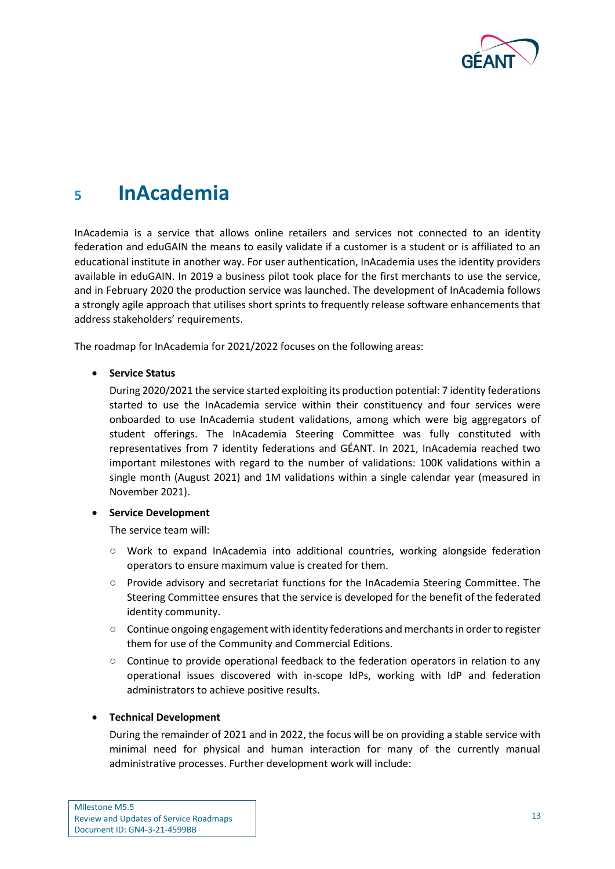

## <span id="page-14-0"></span>**<sup>5</sup> InAcademia**

InAcademia is a service that allows online retailers and services not connected to an identity federation and eduGAIN the means to easily validate if a customer is a student or is affiliated to an educational institute in another way. For user authentication, InAcademia uses the identity providers available in eduGAIN. In 2019 a business pilot took place for the first merchants to use the service, and in February 2020 the production service was launched. The development of InAcademia follows a strongly agile approach that utilises short sprints to frequently release software enhancements that address stakeholders' requirements.

The roadmap for InAcademia for 2021/2022 focuses on the following areas:

#### • **Service Status**

During 2020/2021 the service started exploiting its production potential: 7 identity federations started to use the InAcademia service within their constituency and four services were onboarded to use InAcademia student validations, among which were big aggregators of student offerings. The InAcademia Steering Committee was fully constituted with representatives from 7 identity federations and GÉANT. In 2021, InAcademia reached two important milestones with regard to the number of validations: 100K validations within a single month (August 2021) and 1M validations within a single calendar year (measured in November 2021).

#### • **Service Development**

The service team will:

- Work to expand InAcademia into additional countries, working alongside federation operators to ensure maximum value is created for them.
- Provide advisory and secretariat functions for the InAcademia Steering Committee. The Steering Committee ensures that the service is developed for the benefit of the federated identity community.
- Continue ongoing engagement with identity federations and merchants in order to register them for use of the Community and Commercial Editions.
- Continue to provide operational feedback to the federation operators in relation to any operational issues discovered with in-scope IdPs, working with IdP and federation administrators to achieve positive results.

#### • **Technical Development**

During the remainder of 2021 and in 2022, the focus will be on providing a stable service with minimal need for physical and human interaction for many of the currently manual administrative processes. Further development work will include: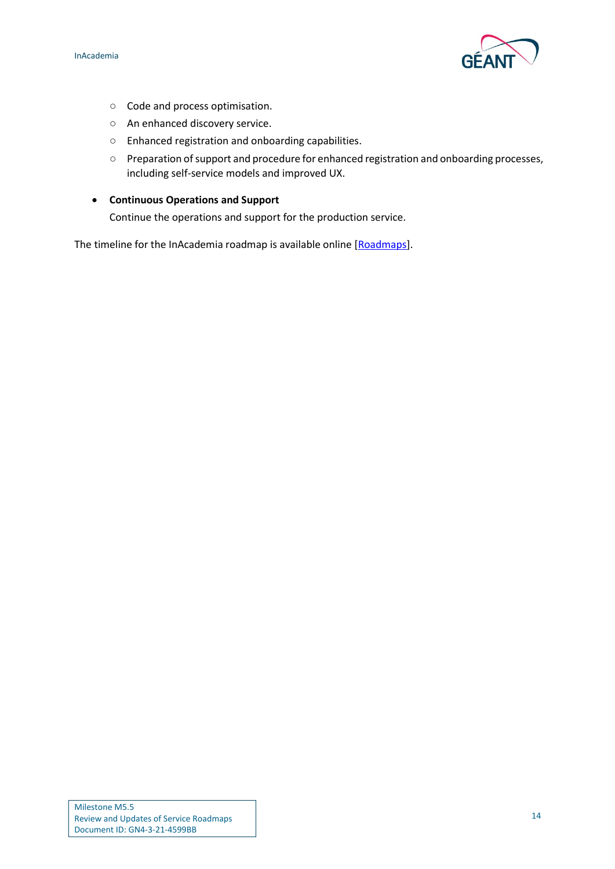

- Code and process optimisation.
- An enhanced discovery service.
- Enhanced registration and onboarding capabilities.
- Preparation ofsupport and procedure for enhanced registration and onboarding processes, including self-service models and improved UX.
- **Continuous Operations and Support**

Continue the operations and support for the production service.

The timeline for the InAcademia roadmap is available online [\[Roadmaps\]](#page-17-16).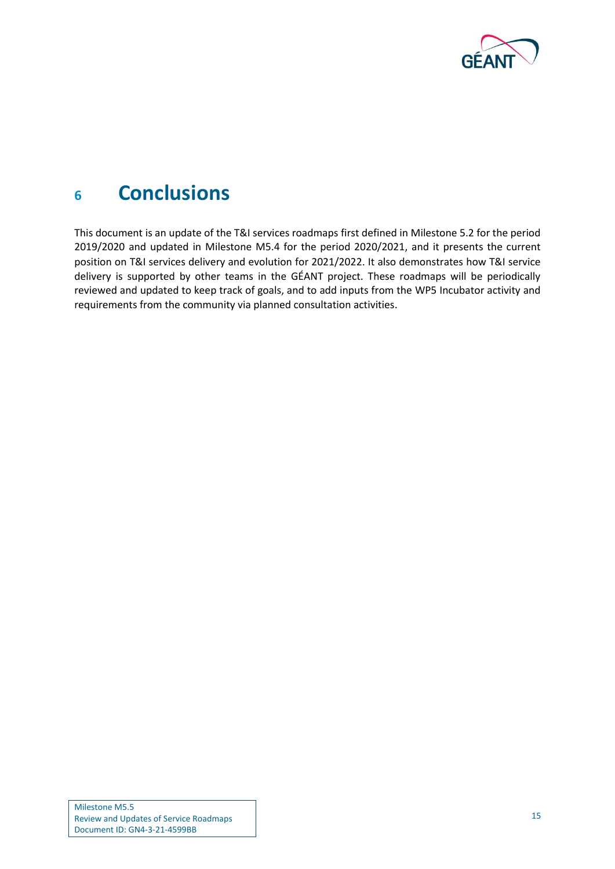

## <span id="page-16-0"></span>**<sup>6</sup> Conclusions**

This document is an update of the T&I services roadmaps first defined in Milestone 5.2 for the period 2019/2020 and updated in Milestone M5.4 for the period 2020/2021, and it presents the current position on T&I services delivery and evolution for 2021/2022. It also demonstrates how T&I service delivery is supported by other teams in the GÉANT project. These roadmaps will be periodically reviewed and updated to keep track of goals, and to add inputs from the WP5 Incubator activity and requirements from the community via planned consultation activities.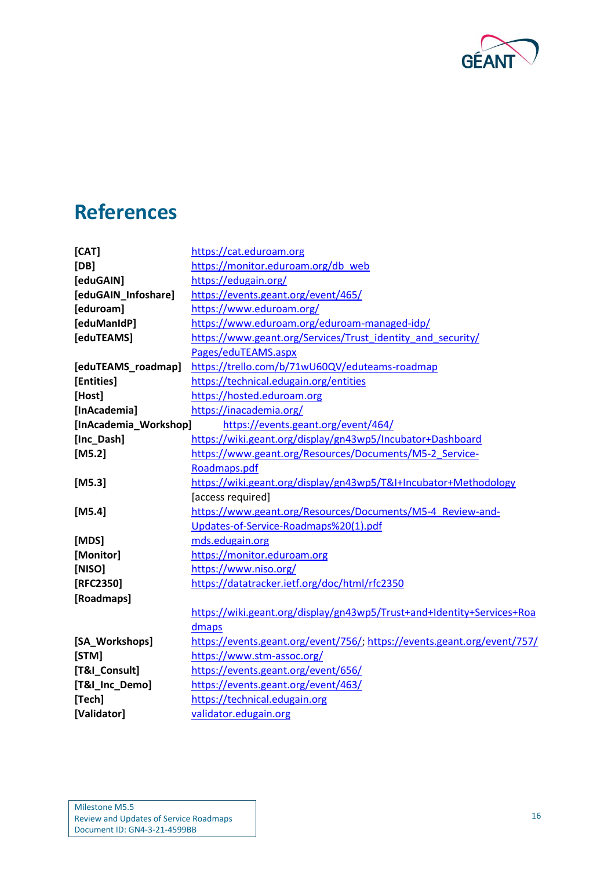

# <span id="page-17-0"></span>**References**

<span id="page-17-24"></span><span id="page-17-23"></span><span id="page-17-22"></span><span id="page-17-21"></span><span id="page-17-20"></span><span id="page-17-19"></span><span id="page-17-18"></span><span id="page-17-17"></span><span id="page-17-16"></span><span id="page-17-15"></span><span id="page-17-14"></span><span id="page-17-13"></span><span id="page-17-12"></span><span id="page-17-11"></span><span id="page-17-10"></span><span id="page-17-9"></span><span id="page-17-8"></span><span id="page-17-7"></span><span id="page-17-6"></span><span id="page-17-5"></span><span id="page-17-4"></span><span id="page-17-3"></span><span id="page-17-2"></span><span id="page-17-1"></span>

| [CAT]                 | https://cat.eduroam.org                                                  |
|-----------------------|--------------------------------------------------------------------------|
| [DB]                  | https://monitor.eduroam.org/db_web                                       |
| [eduGAIN]             | https://edugain.org/                                                     |
| [eduGAIN_Infoshare]   | https://events.geant.org/event/465/                                      |
| [eduroam]             | https://www.eduroam.org/                                                 |
| [eduManIdP]           | https://www.eduroam.org/eduroam-managed-idp/                             |
| [eduTEAMS]            | https://www.geant.org/Services/Trust_identity_and_security/              |
|                       | Pages/eduTEAMS.aspx                                                      |
| [eduTEAMS_roadmap]    | https://trello.com/b/71wU60QV/eduteams-roadmap                           |
| [Entities]            | https://technical.edugain.org/entities                                   |
| [Host]                | https://hosted.eduroam.org                                               |
| [InAcademia]          | https://inacademia.org/                                                  |
| [InAcademia_Workshop] | https://events.geant.org/event/464/                                      |
| [Inc_Dash]            | https://wiki.geant.org/display/gn43wp5/Incubator+Dashboard               |
| $[M5.2]$              | https://www.geant.org/Resources/Documents/M5-2 Service-                  |
|                       | Roadmaps.pdf                                                             |
| [ $M5.3$ ]            | https://wiki.geant.org/display/gn43wp5/T&I+Incubator+Methodology         |
|                       | [access required]                                                        |
| [ $M5.4$ ]            | https://www.geant.org/Resources/Documents/M5-4 Review-and-               |
|                       | Updates-of-Service-Roadmaps%20(1).pdf                                    |
| [MDS]                 | mds.edugain.org                                                          |
| [Monitor]             | https://monitor.eduroam.org                                              |
| [NISO]                | https://www.niso.org/                                                    |
| [RFC2350]             | https://datatracker.ietf.org/doc/html/rfc2350                            |
| [Roadmaps]            |                                                                          |
|                       | https://wiki.geant.org/display/gn43wp5/Trust+and+Identity+Services+Roa   |
|                       | dmaps                                                                    |
| [SA_Workshops]        | https://events.geant.org/event/756/; https://events.geant.org/event/757/ |
| [STM]                 | https://www.stm-assoc.org/                                               |
| [T&I_Consult]         | https://events.geant.org/event/656/                                      |
| [T&I_Inc_Demo]        | https://events.geant.org/event/463/                                      |
| [Tech]                | https://technical.edugain.org                                            |
| [Validator]           | validator.edugain.org                                                    |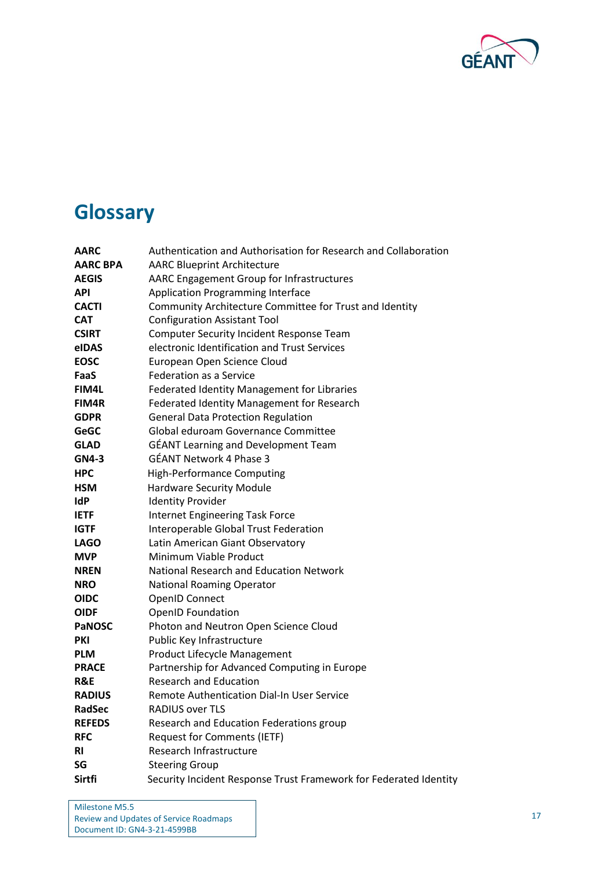

# <span id="page-18-0"></span>**Glossary**

| AARC            | Authentication and Authorisation for Research and Collaboration   |
|-----------------|-------------------------------------------------------------------|
| <b>AARC BPA</b> | <b>AARC Blueprint Architecture</b>                                |
| <b>AEGIS</b>    | AARC Engagement Group for Infrastructures                         |
| <b>API</b>      | <b>Application Programming Interface</b>                          |
| <b>CACTI</b>    | Community Architecture Committee for Trust and Identity           |
| <b>CAT</b>      | <b>Configuration Assistant Tool</b>                               |
| <b>CSIRT</b>    | <b>Computer Security Incident Response Team</b>                   |
| eIDAS           | electronic Identification and Trust Services                      |
| <b>EOSC</b>     | European Open Science Cloud                                       |
| FaaS            | <b>Federation as a Service</b>                                    |
| <b>FIM4L</b>    | Federated Identity Management for Libraries                       |
| FIM4R           | <b>Federated Identity Management for Research</b>                 |
| <b>GDPR</b>     | <b>General Data Protection Regulation</b>                         |
| <b>GeGC</b>     | Global eduroam Governance Committee                               |
| <b>GLAD</b>     | <b>GÉANT Learning and Development Team</b>                        |
| <b>GN4-3</b>    | <b>GÉANT Network 4 Phase 3</b>                                    |
| <b>HPC</b>      | <b>High-Performance Computing</b>                                 |
| <b>HSM</b>      | <b>Hardware Security Module</b>                                   |
| <b>IdP</b>      | <b>Identity Provider</b>                                          |
| <b>IETF</b>     | <b>Internet Engineering Task Force</b>                            |
| <b>IGTF</b>     | Interoperable Global Trust Federation                             |
| <b>LAGO</b>     | Latin American Giant Observatory                                  |
| <b>MVP</b>      | Minimum Viable Product                                            |
| <b>NREN</b>     | National Research and Education Network                           |
| <b>NRO</b>      | <b>National Roaming Operator</b>                                  |
| <b>OIDC</b>     | <b>OpenID Connect</b>                                             |
| <b>OIDF</b>     | <b>OpenID Foundation</b>                                          |
| <b>PaNOSC</b>   | Photon and Neutron Open Science Cloud                             |
| <b>PKI</b>      | Public Key Infrastructure                                         |
| <b>PLM</b>      | Product Lifecycle Management                                      |
| <b>PRACE</b>    | Partnership for Advanced Computing in Europe                      |
| R&E             | <b>Research and Education</b>                                     |
| <b>RADIUS</b>   | Remote Authentication Dial-In User Service                        |
| RadSec          | RADIUS over TLS                                                   |
| <b>REFEDS</b>   | Research and Education Federations group                          |
| <b>RFC</b>      | <b>Request for Comments (IETF)</b>                                |
| <b>RI</b>       | Research Infrastructure                                           |
| SG              | <b>Steering Group</b>                                             |
| Sirtfi          | Security Incident Response Trust Framework for Federated Identity |

Milestone M5.5 Review and Updates of Service Roadmaps Document ID: GN4-3-21-4599BB